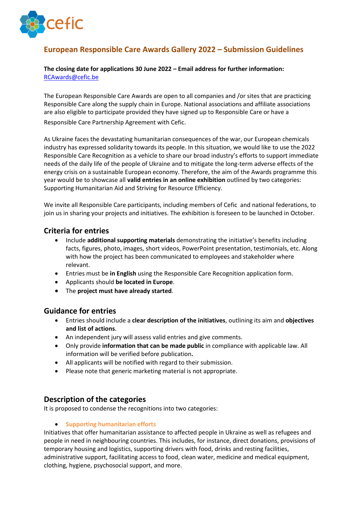

# **European Responsible Care Awards Gallery 2022 – Submission Guidelines**

#### **The closing date for applications 30 June 2022 – Email address for further information:** [RCAwards@cefic.be](mailto:RCAwards@cefic.be)

The European Responsible Care Awards are open to all companies and /or sites that are practicing Responsible Care along the supply chain in Europe. National associations and affiliate associations are also eligible to participate provided they have signed up to Responsible Care or have a Responsible Care Partnership Agreement with Cefic.

As Ukraine faces the devastating humanitarian consequences of the war, our European chemicals industry has expressed solidarity towards its people. In this situation, we would like to use the 2022 Responsible Care Recognition as a vehicle to share our broad industry's efforts to support immediate needs of the daily life of the people of Ukraine and to mitigate the long-term adverse effects of the energy crisis on a sustainable European economy. Therefore, the aim of the Awards programme this year would be to showcase all **valid entries in an online exhibition** outlined by two categories: Supporting Humanitarian Aid and Striving for Resource Efficiency.

We invite all Responsible Care participants, including members of Cefic and national federations, to join us in sharing your projects and initiatives. The exhibition is foreseen to be launched in October.

# **Criteria for entries**

- Include **additional supporting materials** demonstrating the initiative's benefits including facts, figures, photo, images, short videos, PowerPoint presentation, testimonials, etc. Along with how the project has been communicated to employees and stakeholder where relevant.
- Entries must be **in English** using the Responsible Care Recognition application form.
- Applicants should **be located in Europe**.
- The **project must have already started**.

### **Guidance for entries**

- Entries should include a **clear description of the initiatives**, outlining its aim and **objectives and list of actions**.
- An independent jury will assess valid entries and give comments.
- Only provide **information that can be made public** in compliance with applicable law. All information will be verified before publication**.**
- All applicants will be notified with regard to their submission.
- Please note that generic marketing material is not appropriate.

# **Description of the categories**

It is proposed to condense the recognitions into two categories: 

#### • **Supporting humanitarian efforts**

Initiatives that offer humanitarian assistance to affected people in Ukraine as well as refugees and people in need in neighbouring countries. This includes, for instance, direct donations, provisions of temporary housing and logistics, supporting drivers with food, drinks and resting facilities, administrative support, facilitating access to food, clean water, medicine and medical equipment, clothing, hygiene, psychosocial support, and more.